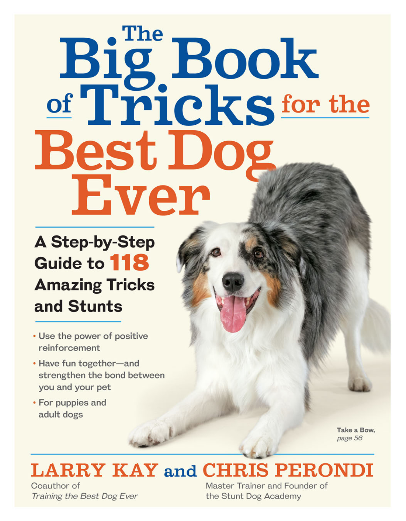# Big Book<br>of Tricks for the Best Do Ever

# **A Step-by-Step** Guide to 118 **Amazing Tricks** and Stunts

- Use the power of positive reinforcement
- · Have fun together-and strengthen the bond between you and your pet
- For puppies and adult dogs

Take a Bow, page 56

# **LARRY KAY and CHRIS PERONDI**

Coauthor of Training the Best Dog Ever Master Trainer and Founder of the Stunt Dog Academy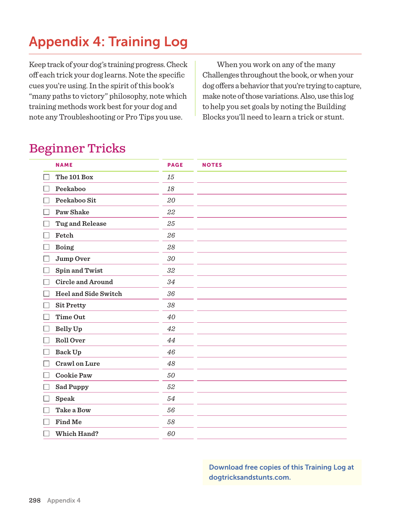## Appendix 4: Training Log

Keep track of your dog's training progress. Check off each trick your dog learns. Note the specific cues you're using. In the spirit of this book's "many paths to victory" philosophy, note which training methods work best for your dog and note any Troubleshooting or Pro Tips you use.

When you work on any of the many Challenges throughout the book, or when your dog offers a behavior that you're trying to capture, make note of those variations. Also, use this log to help you set goals by noting the Building Blocks you'll need to learn a trick or stunt.

### Beginner Tricks

| <b>NAME</b>                 | <b>PAGE</b> | <b>NOTES</b> |
|-----------------------------|-------------|--------------|
| The 101 Box                 | 15          |              |
| Peekaboo                    | 18          |              |
| Peekaboo Sit                | 20          |              |
| <b>Paw Shake</b>            | 22          |              |
| <b>Tug and Release</b>      | 25          |              |
| Fetch                       | 26          |              |
| <b>Boing</b>                | 28          |              |
| Jump Over                   | 30          |              |
| <b>Spin and Twist</b>       | 32          |              |
| <b>Circle and Around</b>    | 34          |              |
| <b>Heel and Side Switch</b> | 36          |              |
| <b>Sit Pretty</b>           | 38          |              |
| Time Out                    | 40          |              |
| Belly Up                    | 42          |              |
| Roll Over                   | 44          |              |
| Back Up                     | 46          |              |
| <b>Crawl on Lure</b>        | 48          |              |
| <b>Cookie Paw</b>           | 50          |              |
| <b>Sad Puppy</b>            | 52          |              |
| Speak                       | 54          |              |
| Take a Bow                  | 56          |              |
| Find Me                     | 58          |              |
| Which Hand?                 | 60          |              |

Download free copies of this Training Log at dogtricksandstunts.com.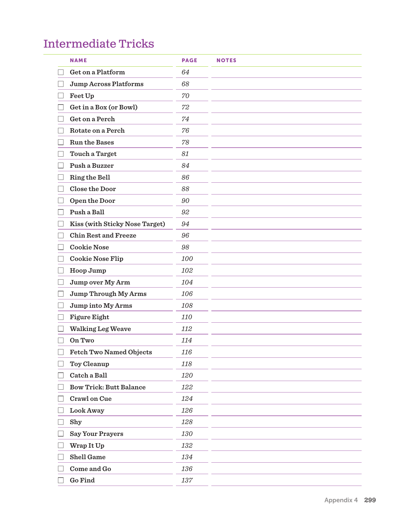#### Intermediate Tricks

|                          | <b>NAME</b>                    | <b>PAGE</b> | <b>NOTES</b> |
|--------------------------|--------------------------------|-------------|--------------|
|                          | Get on a Platform              | 64          |              |
|                          | <b>Jump Across Platforms</b>   | 68          |              |
|                          | Feet Up                        | 70          |              |
|                          | Get in a Box (or Bowl)         | 72          |              |
|                          | Get on a Perch                 | 74          |              |
| $\overline{\phantom{a}}$ | Rotate on a Perch              | 76          |              |
|                          | <b>Run the Bases</b>           | 78          |              |
|                          | Touch a Target                 | 81          |              |
|                          | Push a Buzzer                  | 84          |              |
|                          | Ring the Bell                  | 86          |              |
|                          | Close the Door                 | 88          |              |
| $\vert \ \ \vert$        | Open the Door                  | 90          |              |
|                          | Push a Ball                    | 92          |              |
|                          | Kiss (with Sticky Nose Target) | 94          |              |
|                          | <b>Chin Rest and Freeze</b>    | 96          |              |
|                          | <b>Cookie Nose</b>             | 98          |              |
| ш                        | <b>Cookie Nose Flip</b>        | 100         |              |
| $\Box$                   | Hoop Jump                      | 102         |              |
|                          | Jump over My Arm               | 104         |              |
|                          | Jump Through My Arms           | 106         |              |
|                          | Jump into My Arms              | 108         |              |
|                          | Figure Eight                   | 110         |              |
|                          | <b>Walking Leg Weave</b>       | 112         |              |
| $\vert \ \ \vert$        | On Two                         | 114         |              |
|                          | Fetch Two Named Objects        | 116         |              |
|                          | Toy Cleanup                    | 118         |              |
|                          | Catch a Ball                   | 120         |              |
|                          | <b>Bow Trick: Butt Balance</b> | 122         |              |
|                          | Crawl on Cue                   | 124         |              |
|                          | Look Away                      | 126         |              |
|                          | Shy                            | 128         |              |
|                          | <b>Say Your Prayers</b>        | 130         |              |
|                          | Wrap It Up                     | 132         |              |
|                          | <b>Shell Game</b>              | 134         |              |
|                          | Come and Go                    | 136         |              |
|                          | $\rm{Go}\, \rm{Find}$          | $137\,$     |              |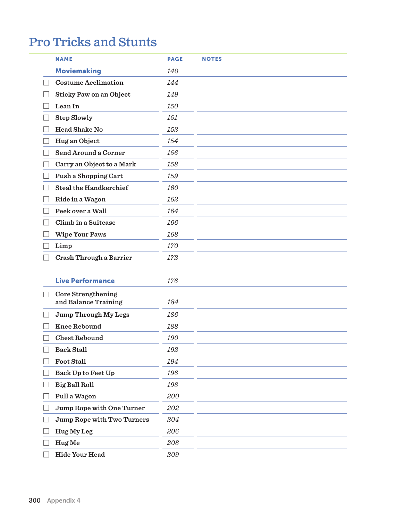## Pro Tricks and Stunts

| <b>NAME</b>                   | <b>PAGE</b> | <b>NOTES</b> |
|-------------------------------|-------------|--------------|
| <b>Moviemaking</b>            | 140         |              |
| <b>Costume Acclimation</b>    | 144         |              |
| Sticky Paw on an Object       | 149         |              |
| Lean In                       | 150         |              |
| <b>Step Slowly</b>            | 151         |              |
| <b>Head Shake No</b>          | 152         |              |
| Hug an Object                 | 154         |              |
| Send Around a Corner          | 156         |              |
| Carry an Object to a Mark     | 158         |              |
| Push a Shopping Cart          | 159         |              |
| <b>Steal the Handkerchief</b> | 160         |              |
| Ride in a Wagon               | 162         |              |
| Peek over a Wall              | 164         |              |
| Climb in a Suitcase           | 166         |              |
| <b>Wipe Your Paws</b>         | 168         |              |
| Limp                          | 170         |              |
| Crash Through a Barrier       | 172         |              |

| <b>Live Performance</b>                    | 176 |  |
|--------------------------------------------|-----|--|
| Core Strengthening<br>and Balance Training | 184 |  |
| Jump Through My Legs                       | 186 |  |
| <b>Knee Rebound</b>                        | 188 |  |
| <b>Chest Rebound</b>                       | 190 |  |
| <b>Back Stall</b>                          | 192 |  |
| <b>Foot Stall</b>                          | 194 |  |
| Back Up to Feet Up                         | 196 |  |
| <b>Big Ball Roll</b>                       | 198 |  |
| Pull a Wagon                               | 200 |  |
| Jump Rope with One Turner                  | 202 |  |
| <b>Jump Rope with Two Turners</b>          | 204 |  |
| Hug My Leg                                 | 206 |  |
| Hug Me                                     | 208 |  |
| <b>Hide Your Head</b>                      | 209 |  |
|                                            |     |  |